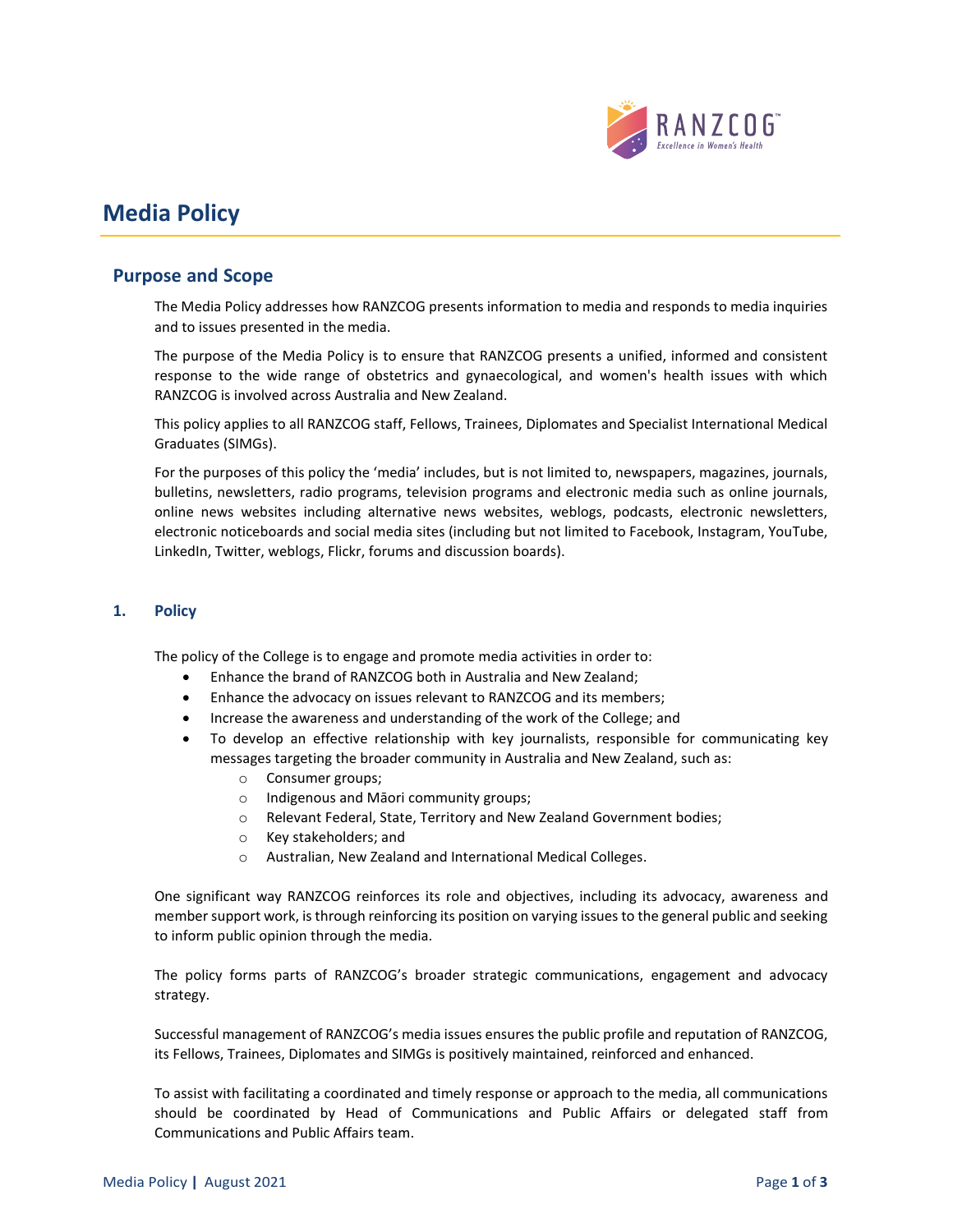

# **Media Policy**

## **Purpose and Scope**

The Media Policy addresses how RANZCOG presents information to media and responds to media inquiries and to issues presented in the media.

The purpose of the Media Policy is to ensure that RANZCOG presents a unified, informed and consistent response to the wide range of obstetrics and gynaecological, and women's health issues with which RANZCOG is involved across Australia and New Zealand.

This policy applies to all RANZCOG staff, Fellows, Trainees, Diplomates and Specialist International Medical Graduates (SIMGs).

For the purposes of this policy the 'media' includes, but is not limited to, newspapers, magazines, journals, bulletins, newsletters, radio programs, television programs and electronic media such as online journals, online news websites including alternative news websites, weblogs, podcasts, electronic newsletters, electronic noticeboards and social media sites (including but not limited to Facebook, Instagram, YouTube, LinkedIn, Twitter, weblogs, Flickr, forums and discussion boards).

## **1. Policy**

The policy of the College is to engage and promote media activities in order to:

- Enhance the brand of RANZCOG both in Australia and New Zealand;
- Enhance the advocacy on issues relevant to RANZCOG and its members;
- Increase the awareness and understanding of the work of the College; and
- To develop an effective relationship with key journalists, responsible for communicating key messages targeting the broader community in Australia and New Zealand, such as:
	- o Consumer groups;
	- o Indigenous and Māori community groups;
	- o Relevant Federal, State, Territory and New Zealand Government bodies;
	- o Key stakeholders; and
	- o Australian, New Zealand and International Medical Colleges.

One significant way RANZCOG reinforces its role and objectives, including its advocacy, awareness and member support work, is through reinforcing its position on varying issues to the general public and seeking to inform public opinion through the media.

The policy forms parts of RANZCOG's broader strategic communications, engagement and advocacy strategy.

Successful management of RANZCOG's media issues ensures the public profile and reputation of RANZCOG, its Fellows, Trainees, Diplomates and SIMGs is positively maintained, reinforced and enhanced.

To assist with facilitating a coordinated and timely response or approach to the media, all communications should be coordinated by Head of Communications and Public Affairs or delegated staff from Communications and Public Affairs team.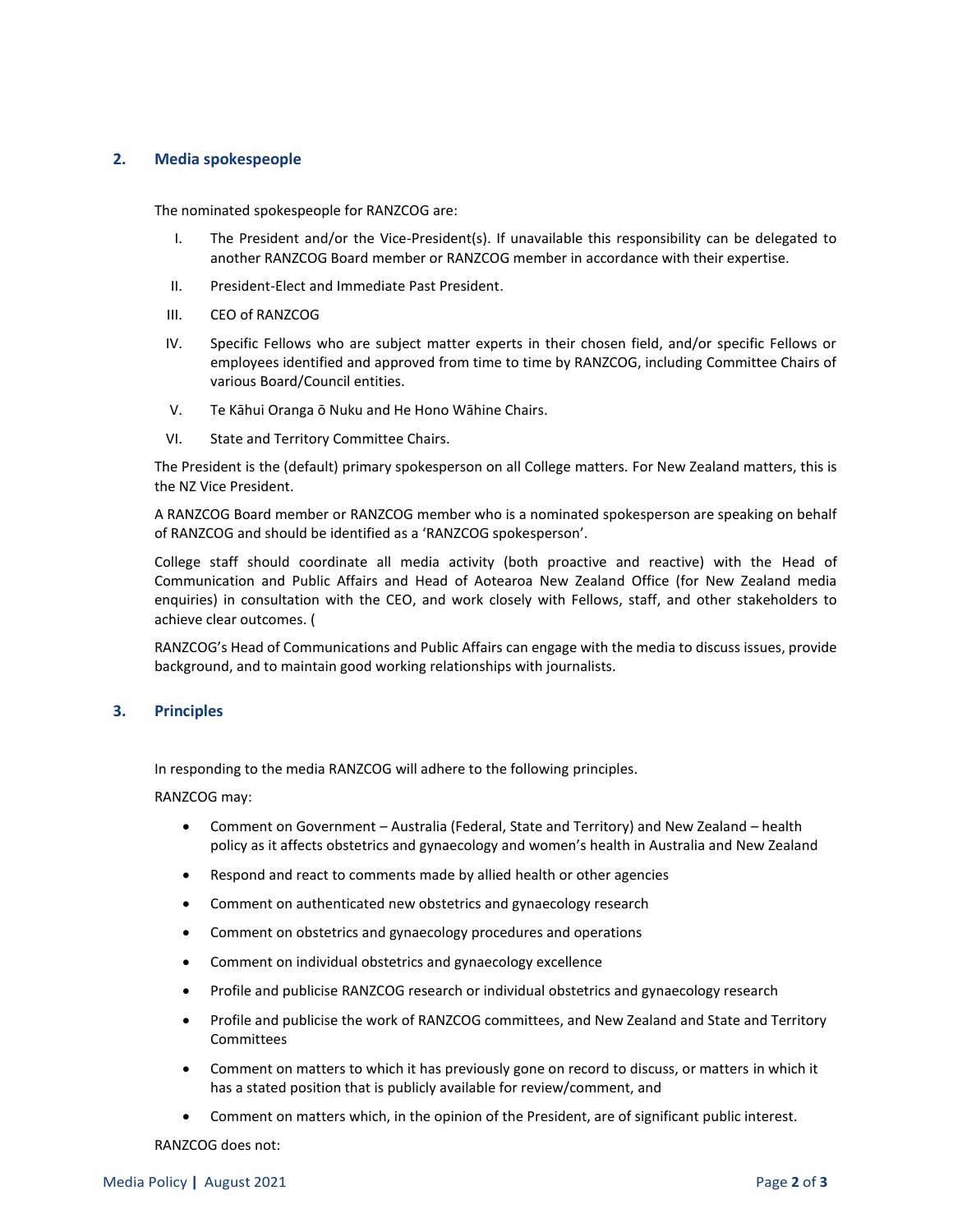### **2. Media spokespeople**

The nominated spokespeople for RANZCOG are:

- I. The President and/or the Vice-President(s). If unavailable this responsibility can be delegated to another RANZCOG Board member or RANZCOG member in accordance with their expertise.
- II. President-Elect and Immediate Past President.
- III. CEO of RANZCOG
- IV. Specific Fellows who are subject matter experts in their chosen field, and/or specific Fellows or employees identified and approved from time to time by RANZCOG, including Committee Chairs of various Board/Council entities.
- V. Te Kāhui Oranga ō Nuku and He Hono Wāhine Chairs.
- VI. State and Territory Committee Chairs.

The President is the (default) primary spokesperson on all College matters. For New Zealand matters, this is the NZ Vice President.

A RANZCOG Board member or RANZCOG member who is a nominated spokesperson are speaking on behalf of RANZCOG and should be identified as a 'RANZCOG spokesperson'.

College staff should coordinate all media activity (both proactive and reactive) with the Head of Communication and Public Affairs and Head of Aotearoa New Zealand Office (for New Zealand media enquiries) in consultation with the CEO, and work closely with Fellows, staff, and other stakeholders to achieve clear outcomes. (

RANZCOG's Head of Communications and Public Affairs can engage with the media to discuss issues, provide background, and to maintain good working relationships with journalists.

### **3. Principles**

In responding to the media RANZCOG will adhere to the following principles.

RANZCOG may:

- Comment on Government Australia (Federal, State and Territory) and New Zealand health policy as it affects obstetrics and gynaecology and women's health in Australia and New Zealand
- Respond and react to comments made by allied health or other agencies
- Comment on authenticated new obstetrics and gynaecology research
- Comment on obstetrics and gynaecology procedures and operations
- Comment on individual obstetrics and gynaecology excellence
- Profile and publicise RANZCOG research or individual obstetrics and gynaecology research
- Profile and publicise the work of RANZCOG committees, and New Zealand and State and Territory Committees
- Comment on matters to which it has previously gone on record to discuss, or matters in which it has a stated position that is publicly available for review/comment, and
- Comment on matters which, in the opinion of the President, are of significant public interest.

RANZCOG does not: